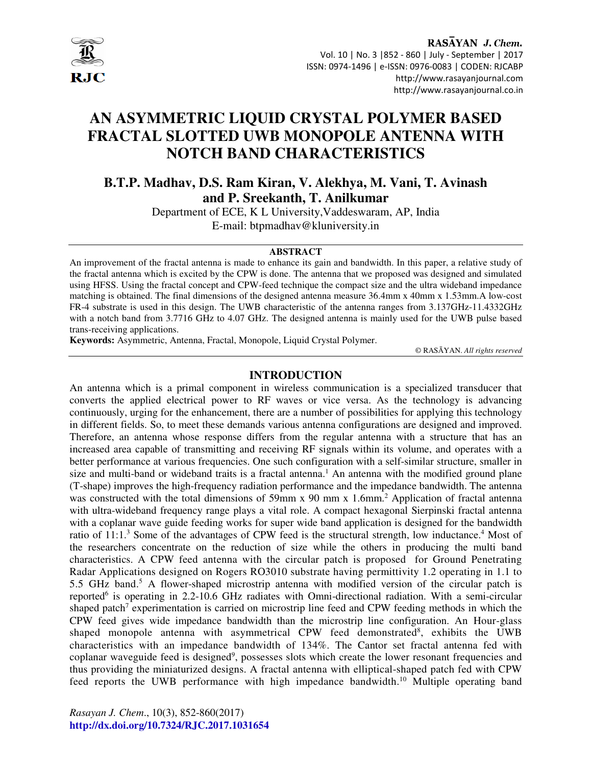

# RASAYAN J. Chem. Vol. 10 | No. 3 |852 - 860 | July - September | 2017 ISSN: 0974-1496 | e-ISSN: 0976-0083 | CODEN: RJCABP http://www.rasayanjournal.com http://www.rasayanjournal.co.in

# **AN ASYMMETRIC LIQUID CRYSTAL POLYMER BASED FRACTAL SLOTTED UWB MONOPOLE ANTENNA WITH NOTCH BAND CHARACTERISTICS**

**B.T.P. Madhav, D.S. Ram Kiran, V. Alekhya, M. Vani, T. Avinash and P. Sreekanth, T. Anilkumar** 

Department of ECE, K L University,Vaddeswaram, AP, India E-mail: btpmadhav@kluniversity.in

#### **ABSTRACT**

An improvement of the fractal antenna is made to enhance its gain and bandwidth. In this paper, a relative study of the fractal antenna which is excited by the CPW is done. The antenna that we proposed was designed and simulated using HFSS. Using the fractal concept and CPW-feed technique the compact size and the ultra wideband impedance matching is obtained. The final dimensions of the designed antenna measure 36.4mm x 40mm x 1.53mm.A low-cost FR-4 substrate is used in this design. The UWB characteristic of the antenna ranges from 3.137GHz-11.4332GHz with a notch band from 3.7716 GHz to 4.07 GHz. The designed antenna is mainly used for the UWB pulse based trans-receiving applications.

**Keywords:** Asymmetric, Antenna, Fractal, Monopole, Liquid Crystal Polymer.

© RASĀYAN. *All rights reserved*

### **INTRODUCTION**

An antenna which is a primal component in wireless communication is a specialized transducer that converts the applied electrical power to RF waves or vice versa. As the technology is advancing continuously, urging for the enhancement, there are a number of possibilities for applying this technology in different fields. So, to meet these demands various antenna configurations are designed and improved. Therefore, an antenna whose response differs from the regular antenna with a structure that has an increased area capable of transmitting and receiving RF signals within its volume, and operates with a better performance at various frequencies. One such configuration with a self-similar structure, smaller in size and multi-band or wideband traits is a fractal antenna.<sup>1</sup> An antenna with the modified ground plane (T-shape) improves the high-frequency radiation performance and the impedance bandwidth. The antenna was constructed with the total dimensions of 59mm x 90 mm x 1.6mm.<sup>2</sup> Application of fractal antenna with ultra-wideband frequency range plays a vital role. A compact hexagonal Sierpinski fractal antenna with a coplanar wave guide feeding works for super wide band application is designed for the bandwidth ratio of 11:1.<sup>3</sup> Some of the advantages of CPW feed is the structural strength, low inductance.<sup>4</sup> Most of the researchers concentrate on the reduction of size while the others in producing the multi band characteristics. A CPW feed antenna with the circular patch is proposed for Ground Penetrating Radar Applications designed on Rogers RO3010 substrate having permittivity 1.2 operating in 1.1 to 5.5 GHz band.<sup>5</sup> A flower-shaped microstrip antenna with modified version of the circular patch is reported<sup>6</sup> is operating in 2.2-10.6 GHz radiates with Omni-directional radiation. With a semi-circular shaped patch<sup>7</sup> experimentation is carried on microstrip line feed and CPW feeding methods in which the CPW feed gives wide impedance bandwidth than the microstrip line configuration. An Hour-glass shaped monopole antenna with asymmetrical CPW feed demonstrated<sup>8</sup>, exhibits the UWB characteristics with an impedance bandwidth of 134%. The Cantor set fractal antenna fed with coplanar waveguide feed is designed<sup>9</sup>, possesses slots which create the lower resonant frequencies and thus providing the miniaturized designs. A fractal antenna with elliptical-shaped patch fed with CPW feed reports the UWB performance with high impedance bandwidth.10 Multiple operating band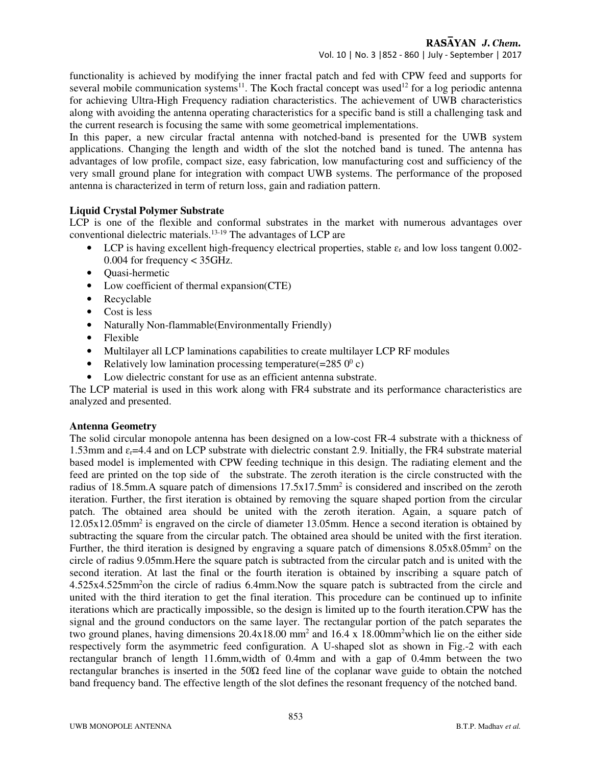functionality is achieved by modifying the inner fractal patch and fed with CPW feed and supports for several mobile communication systems<sup>11</sup>. The Koch fractal concept was used<sup>12</sup> for a log periodic antenna for achieving Ultra-High Frequency radiation characteristics. The achievement of UWB characteristics along with avoiding the antenna operating characteristics for a specific band is still a challenging task and the current research is focusing the same with some geometrical implementations.

In this paper, a new circular fractal antenna with notched-band is presented for the UWB system applications. Changing the length and width of the slot the notched band is tuned. The antenna has advantages of low profile, compact size, easy fabrication, low manufacturing cost and sufficiency of the very small ground plane for integration with compact UWB systems. The performance of the proposed antenna is characterized in term of return loss, gain and radiation pattern.

## **Liquid Crystal Polymer Substrate**

LCP is one of the flexible and conformal substrates in the market with numerous advantages over conventional dielectric materials.13-19 The advantages of LCP are

- LCP is having excellent high-frequency electrical properties, stable  $\varepsilon_r$  and low loss tangent 0.002-0.004 for frequency < 35GHz.
- Quasi-hermetic
- Low coefficient of thermal expansion(CTE)
- Recyclable
- Cost is less
- Naturally Non-flammable(Environmentally Friendly)
- Flexible
- Multilayer all LCP laminations capabilities to create multilayer LCP RF modules
- Relatively low lamination processing temperature  $(=2850^{\circ} c)$
- Low dielectric constant for use as an efficient antenna substrate.

The LCP material is used in this work along with FR4 substrate and its performance characteristics are analyzed and presented.

## **Antenna Geometry**

The solid circular monopole antenna has been designed on a low-cost FR-4 substrate with a thickness of 1.53mm and  $\varepsilon_r = 4.4$  and on LCP substrate with dielectric constant 2.9. Initially, the FR4 substrate material based model is implemented with CPW feeding technique in this design. The radiating element and the feed are printed on the top side of the substrate. The zeroth iteration is the circle constructed with the radius of 18.5mm. A square patch of dimensions  $17.5 \times 17.5$ mm<sup>2</sup> is considered and inscribed on the zeroth iteration. Further, the first iteration is obtained by removing the square shaped portion from the circular patch. The obtained area should be united with the zeroth iteration. Again, a square patch of 12.05x12.05mm<sup>2</sup> is engraved on the circle of diameter 13.05mm. Hence a second iteration is obtained by subtracting the square from the circular patch. The obtained area should be united with the first iteration. Further, the third iteration is designed by engraving a square patch of dimensions  $8.05x8.05mm^2$  on the circle of radius 9.05mm.Here the square patch is subtracted from the circular patch and is united with the second iteration. At last the final or the fourth iteration is obtained by inscribing a square patch of 4.525x4.525mm<sup>2</sup>on the circle of radius 6.4mm.Now the square patch is subtracted from the circle and united with the third iteration to get the final iteration. This procedure can be continued up to infinite iterations which are practically impossible, so the design is limited up to the fourth iteration.CPW has the signal and the ground conductors on the same layer. The rectangular portion of the patch separates the two ground planes, having dimensions 20.4x18.00 mm<sup>2</sup> and 16.4 x 18.00mm<sup>2</sup> which lie on the either side respectively form the asymmetric feed configuration. A U-shaped slot as shown in Fig.-2 with each rectangular branch of length 11.6mm,width of 0.4mm and with a gap of 0.4mm between the two rectangular branches is inserted in the 50Ώ feed line of the coplanar wave guide to obtain the notched band frequency band. The effective length of the slot defines the resonant frequency of the notched band.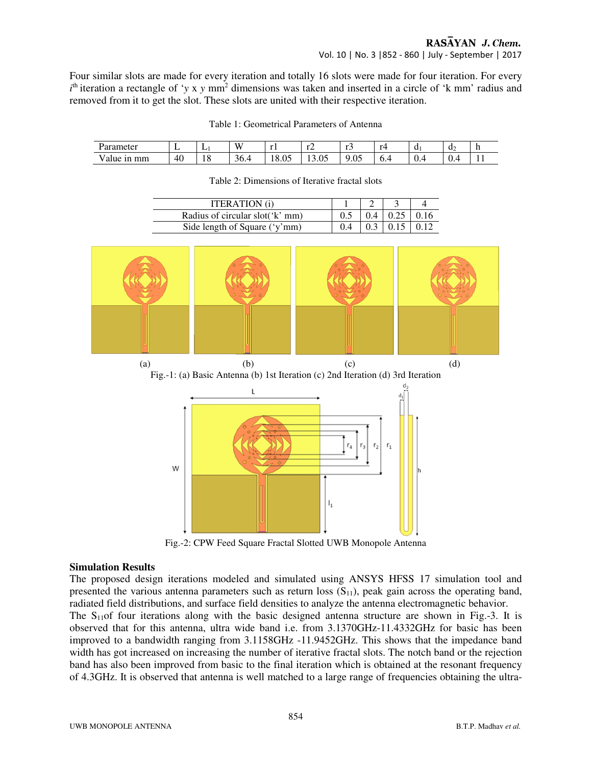# RASAYAN J. Chem.

Vol. 10 | No. 3 |852 - 860 | July - September | 2017

Four similar slots are made for every iteration and totally 16 slots were made for four iteration. For every  $i<sup>th</sup>$  iteration a rectangle of '*y* x *y* mm<sup>2</sup> dimensions was taken and inserted in a circle of 'k mm' radius and removed from it to get the slot. These slots are united with their respective iteration.

| Parameter          | -  | ∸         | W         | -<br>. .          | $\overline{1}$    |           | r4 | u   | u  | $\blacksquare$ |
|--------------------|----|-----------|-----------|-------------------|-------------------|-----------|----|-----|----|----------------|
| mm<br>v alue<br>1n | 40 | . C<br>10 | 36.4<br>∸ | $\Omega$<br>10.UJ | $\Omega$<br>19.UJ | 0.05<br>Q | ◡… | v.+ | ◡… | . .            |

Table 1: Geometrical Parameters of Antenna

Table 2: Dimensions of Iterative fractal slots

| <b>ITERATION</b> (i)            |  |                         |  |
|---------------------------------|--|-------------------------|--|
| Radius of circular slot('k' mm) |  | $0.4$   0.25   0.16     |  |
| Side length of Square ('y'mm)   |  | $0.3 \pm 0.15 \pm 0.12$ |  |



Fig.-2: CPW Feed Square Fractal Slotted UWB Monopole Antenna

## **Simulation Results**

The proposed design iterations modeled and simulated using ANSYS HFSS 17 simulation tool and presented the various antenna parameters such as return loss  $(S_{11})$ , peak gain across the operating band, radiated field distributions, and surface field densities to analyze the antenna electromagnetic behavior.

The S<sub>11</sub>of four iterations along with the basic designed antenna structure are shown in Fig.-3. It is observed that for this antenna, ultra wide band i.e. from 3.1370GHz-11.4332GHz for basic has been improved to a bandwidth ranging from 3.1158GHz -11.9452GHz. This shows that the impedance band width has got increased on increasing the number of iterative fractal slots. The notch band or the rejection band has also been improved from basic to the final iteration which is obtained at the resonant frequency of 4.3GHz. It is observed that antenna is well matched to a large range of frequencies obtaining the ultra-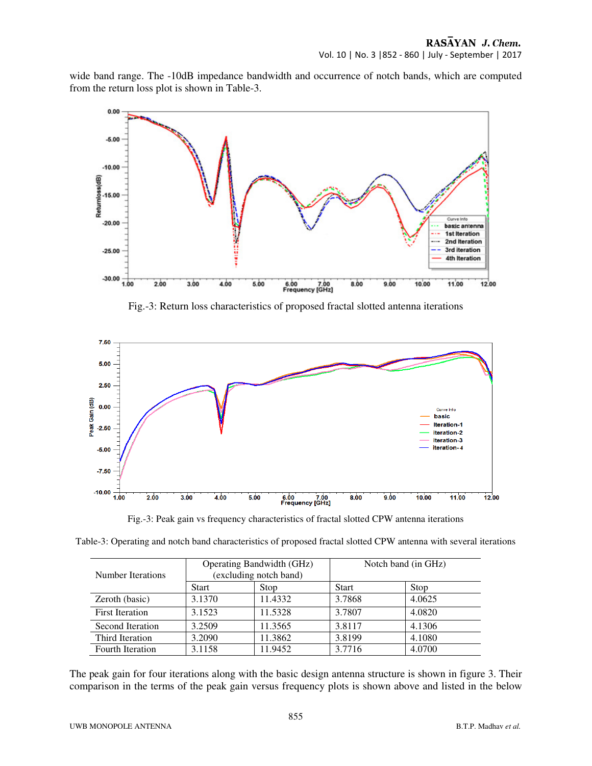wide band range. The -10dB impedance bandwidth and occurrence of notch bands, which are computed from the return loss plot is shown in Table-3.



Fig.-3: Return loss characteristics of proposed fractal slotted antenna iterations



Fig.-3: Peak gain vs frequency characteristics of fractal slotted CPW antenna iterations

| Number Iterations      |              | Operating Bandwidth (GHz)<br>(excluding notch band) | Notch band (in GHz) |        |  |
|------------------------|--------------|-----------------------------------------------------|---------------------|--------|--|
|                        | <b>Start</b> | Stop                                                | <b>Start</b>        | Stop   |  |
| Zeroth (basic)         | 3.1370       | 11.4332                                             | 3.7868              | 4.0625 |  |
| <b>First Iteration</b> | 3.1523       | 11.5328                                             | 3.7807              | 4.0820 |  |
| Second Iteration       | 3.2509       | 11.3565                                             | 3.8117              | 4.1306 |  |
| Third Iteration        | 3.2090       | 11.3862                                             | 3.8199              | 4.1080 |  |
| Fourth Iteration       | 3.1158       | 11.9452                                             | 3.7716              | 4.0700 |  |

The peak gain for four iterations along with the basic design antenna structure is shown in figure 3. Their comparison in the terms of the peak gain versus frequency plots is shown above and listed in the below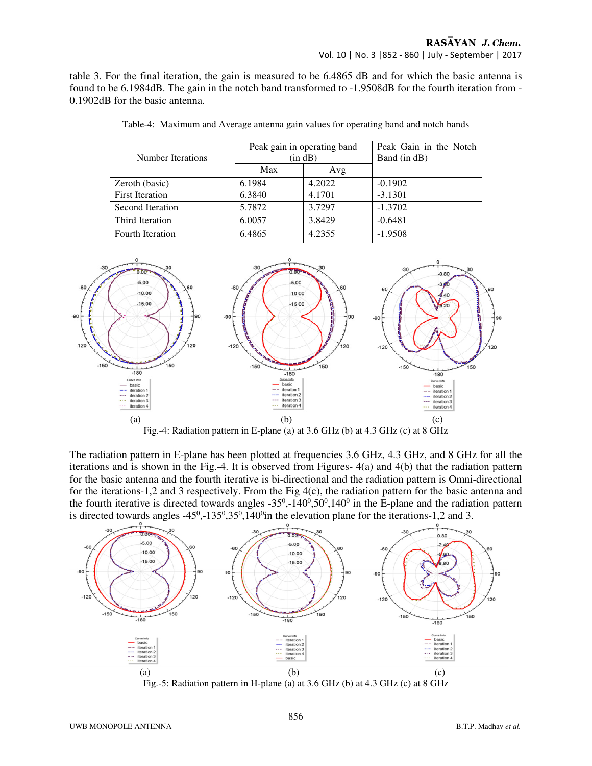table 3. For the final iteration, the gain is measured to be 6.4865 dB and for which the basic antenna is found to be 6.1984dB. The gain in the notch band transformed to -1.9508dB for the fourth iteration from - 0.1902dB for the basic antenna.

| Number Iterations      |        | Peak gain in operating band | Peak Gain in the Notch |
|------------------------|--------|-----------------------------|------------------------|
|                        | Max    | (in dB)<br>Avg              | Band (in dB)           |
| Zeroth (basic)         | 6.1984 | 4.2022                      | $-0.1902$              |
| <b>First Iteration</b> | 6.3840 | 4.1701                      | $-3.1301$              |
| Second Iteration       | 5.7872 | 3.7297                      | $-1.3702$              |
| Third Iteration        | 6.0057 | 3.8429                      | $-0.6481$              |
| Fourth Iteration       | 6.4865 | 4.2355                      | $-1.9508$              |

Table-4: Maximum and Average antenna gain values for operating band and notch bands



The radiation pattern in E-plane has been plotted at frequencies 3.6 GHz, 4.3 GHz, and 8 GHz for all the iterations and is shown in the Fig.-4. It is observed from Figures- 4(a) and 4(b) that the radiation pattern for the basic antenna and the fourth iterative is bi-directional and the radiation pattern is Omni-directional for the iterations-1,2 and 3 respectively. From the Fig 4(c), the radiation pattern for the basic antenna and the fourth iterative is directed towards angles  $-35^0, -140^0, 50^0, 140^0$  in the E-plane and the radiation pattern is directed towards angles  $-45^{\circ}, -135^{\circ}, 35^{\circ}, 140^{\circ}$  in the elevation plane for the iterations-1,2 and 3.

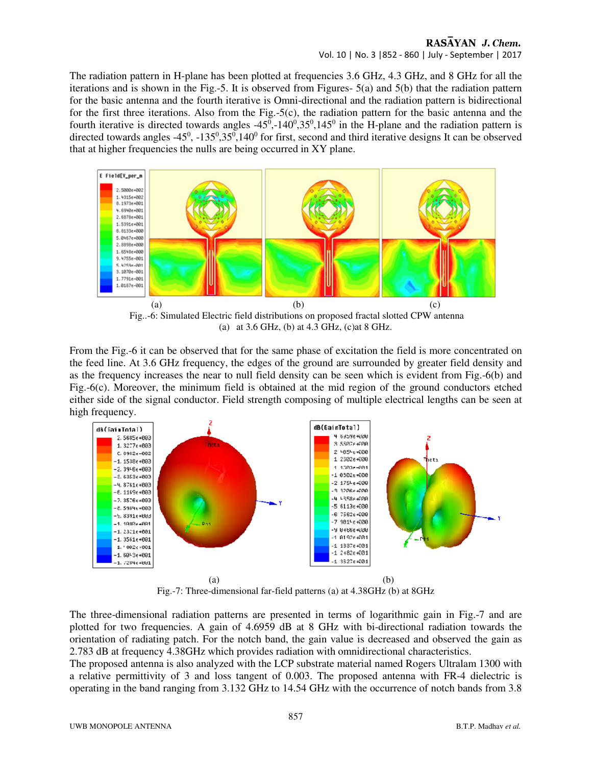#### RASAYAN J. Chem. Vol. 10 | No. 3 |852 - 860 | July - September | 2017

The radiation pattern in H-plane has been plotted at frequencies 3.6 GHz, 4.3 GHz, and 8 GHz for all the iterations and is shown in the Fig.-5. It is observed from Figures- 5(a) and 5(b) that the radiation pattern for the basic antenna and the fourth iterative is Omni-directional and the radiation pattern is bidirectional for the first three iterations. Also from the Fig.-5(c), the radiation pattern for the basic antenna and the fourth iterative is directed towards angles  $-45^0$ ,  $-140^0$ ,  $35^0$ ,  $145^0$  in the H-plane and the radiation pattern is directed towards angles  $-45^0$ ,  $-135^0$ ,  $35^0$ ,  $140^0$  for first, second and third iterative designs It can be observed that at higher frequencies the nulls are being occurred in XY plane.



(a) at 3.6 GHz, (b) at 4.3 GHz, (c)at 8 GHz.

From the Fig.-6 it can be observed that for the same phase of excitation the field is more concentrated on the feed line. At 3.6 GHz frequency, the edges of the ground are surrounded by greater field density and as the frequency increases the near to null field density can be seen which is evident from Fig.-6(b) and Fig.-6(c). Moreover, the minimum field is obtained at the mid region of the ground conductors etched either side of the signal conductor. Field strength composing of multiple electrical lengths can be seen at high frequency.



Fig.-7: Three-dimensional far-field patterns (a) at 4.38GHz (b) at 8GHz

The three-dimensional radiation patterns are presented in terms of logarithmic gain in Fig.-7 and are plotted for two frequencies. A gain of 4.6959 dB at 8 GHz with bi-directional radiation towards the orientation of radiating patch. For the notch band, the gain value is decreased and observed the gain as 2.783 dB at frequency 4.38GHz which provides radiation with omnidirectional characteristics.

The proposed antenna is also analyzed with the LCP substrate material named Rogers Ultralam 1300 with a relative permittivity of 3 and loss tangent of 0.003. The proposed antenna with FR-4 dielectric is operating in the band ranging from 3.132 GHz to 14.54 GHz with the occurrence of notch bands from 3.8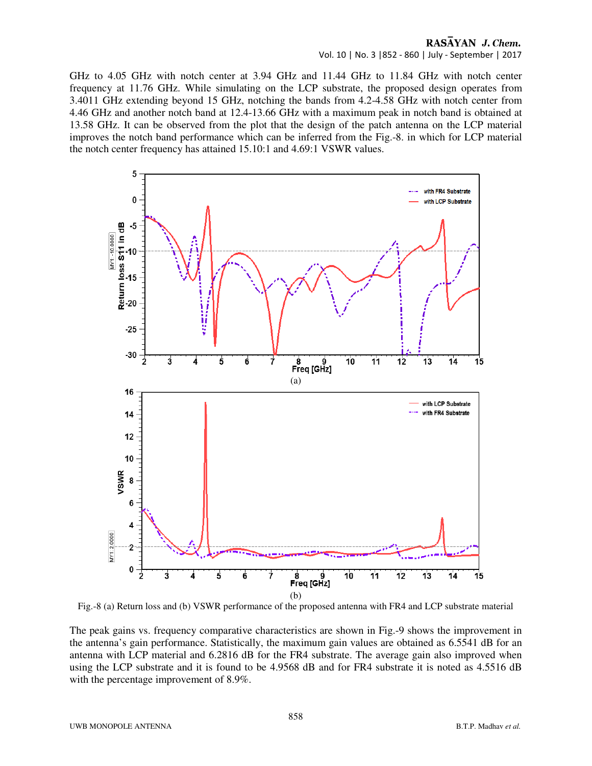#### RASAYAN J. Chem. Vol. 10 | No. 3 |852 - 860 | July - September | 2017

GHz to 4.05 GHz with notch center at 3.94 GHz and 11.44 GHz to 11.84 GHz with notch center frequency at 11.76 GHz. While simulating on the LCP substrate, the proposed design operates from 3.4011 GHz extending beyond 15 GHz, notching the bands from 4.2-4.58 GHz with notch center from 4.46 GHz and another notch band at 12.4-13.66 GHz with a maximum peak in notch band is obtained at 13.58 GHz. It can be observed from the plot that the design of the patch antenna on the LCP material improves the notch band performance which can be inferred from the Fig.-8. in which for LCP material the notch center frequency has attained 15.10:1 and 4.69:1 VSWR values.



Fig.-8 (a) Return loss and (b) VSWR performance of the proposed antenna with FR4 and LCP substrate material

The peak gains vs. frequency comparative characteristics are shown in Fig.-9 shows the improvement in the antenna's gain performance. Statistically, the maximum gain values are obtained as 6.5541 dB for an antenna with LCP material and 6.2816 dB for the FR4 substrate. The average gain also improved when using the LCP substrate and it is found to be 4.9568 dB and for FR4 substrate it is noted as 4.5516 dB with the percentage improvement of 8.9%.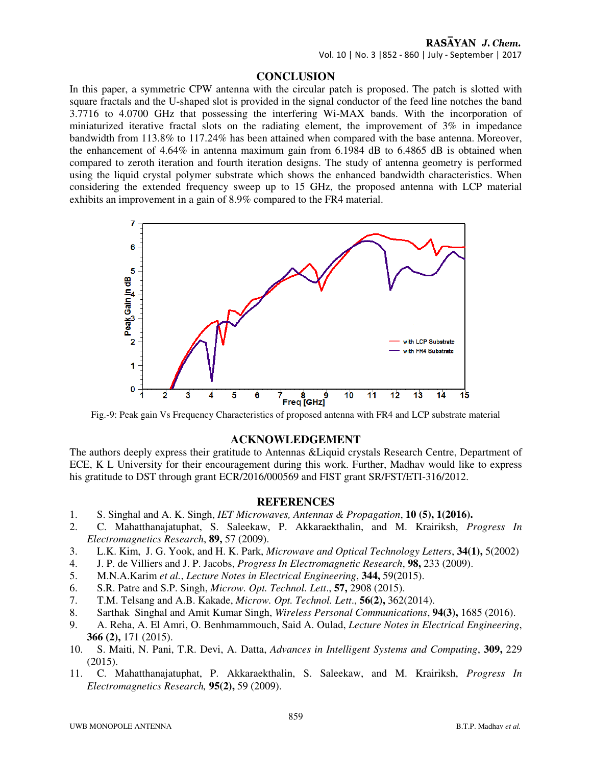# RASAYAN J. Chem.

Vol. 10 | No. 3 |852 - 860 | July - September | 2017

### **CONCLUSION**

In this paper, a symmetric CPW antenna with the circular patch is proposed. The patch is slotted with square fractals and the U-shaped slot is provided in the signal conductor of the feed line notches the band 3.7716 to 4.0700 GHz that possessing the interfering Wi-MAX bands. With the incorporation of miniaturized iterative fractal slots on the radiating element, the improvement of 3% in impedance bandwidth from 113.8% to 117.24% has been attained when compared with the base antenna. Moreover, the enhancement of 4.64% in antenna maximum gain from 6.1984 dB to 6.4865 dB is obtained when compared to zeroth iteration and fourth iteration designs. The study of antenna geometry is performed using the liquid crystal polymer substrate which shows the enhanced bandwidth characteristics. When considering the extended frequency sweep up to 15 GHz, the proposed antenna with LCP material exhibits an improvement in a gain of 8.9% compared to the FR4 material.



Fig.-9: Peak gain Vs Frequency Characteristics of proposed antenna with FR4 and LCP substrate material

#### **ACKNOWLEDGEMENT**

The authors deeply express their gratitude to Antennas &Liquid crystals Research Centre, Department of ECE, K L University for their encouragement during this work. Further, Madhav would like to express his gratitude to DST through grant ECR/2016/000569 and FIST grant SR/FST/ETI-316/2012.

#### **REFERENCES**

- 1. S. Singhal and A. K. Singh, *IET Microwaves, Antennas & Propagation*, **10 (5), 1(2016).**
- 2. C. Mahatthanajatuphat, S. Saleekaw, P. Akkaraekthalin, and M. Krairiksh, *Progress In Electromagnetics Research*, **89,** 57 (2009).
- 3. L.K. Kim, J. G. Yook, and H. K. Park, *Microwave and Optical Technology Letters*, **34(1),** 5(2002)
- 4. J. P. de Villiers and J. P. Jacobs, *Progress In Electromagnetic Research*, **98,** 233 (2009).
- 5. M.N.A.Karim *et al.*, *Lecture Notes in Electrical Engineering*, **344,** 59(2015).
- 6. S.R. Patre and S.P. Singh, *Microw. Opt. Technol. Lett*., **57,** 2908 (2015).
- 7. T.M. Telsang and A.B. Kakade, *Microw. Opt. Technol. Lett*., **56(2),** 362(2014).
- 8. Sarthak Singhal and Amit Kumar Singh, *Wireless Personal Communications*, **94(3),** 1685 (2016).
- 9. A. Reha, A. El Amri, O. Benhmammouch, Said A. Oulad, *Lecture Notes in Electrical Engineering*, **366 (2),** 171 (2015).
- 10. S. Maiti, N. Pani, T.R. Devi, A. Datta, *Advances in Intelligent Systems and Computing*, **309,** 229 (2015).
- 11. C. Mahatthanajatuphat, P. Akkaraekthalin, S. Saleekaw, and M. Krairiksh, *Progress In Electromagnetics Research,* **95(2),** 59 (2009).